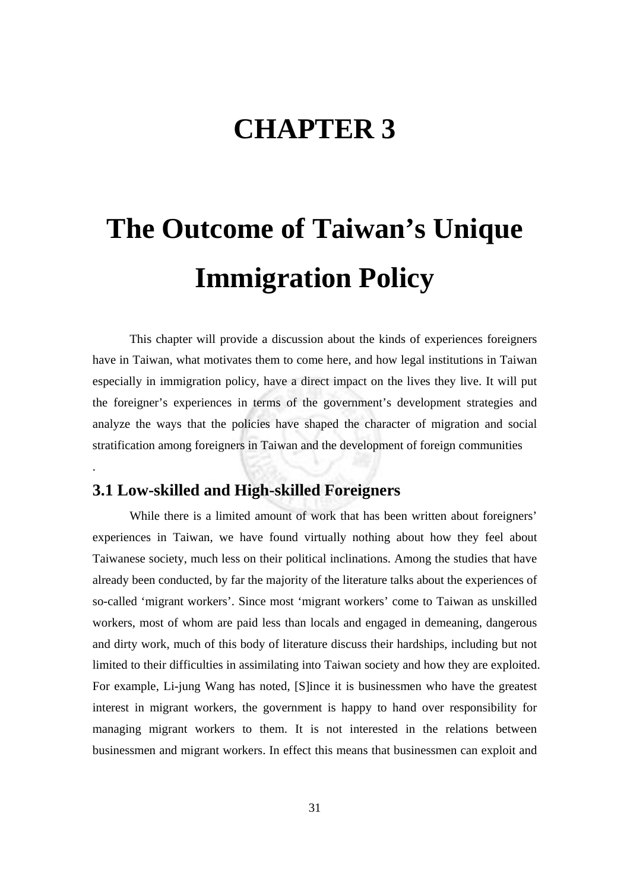# **CHAPTER 3**

# **The Outcome of Taiwan's Unique Immigration Policy**

This chapter will provide a discussion about the kinds of experiences foreigners have in Taiwan, what motivates them to come here, and how legal institutions in Taiwan especially in immigration policy, have a direct impact on the lives they live. It will put the foreigner's experiences in terms of the government's development strategies and analyze the ways that the policies have shaped the character of migration and social stratification among foreigners in Taiwan and the development of foreign communities

#### **3.1 Low-skilled and High-skilled Foreigners**

.

While there is a limited amount of work that has been written about foreigners' experiences in Taiwan, we have found virtually nothing about how they feel about Taiwanese society, much less on their political inclinations. Among the studies that have already been conducted, by far the majority of the literature talks about the experiences of so-called 'migrant workers'. Since most 'migrant workers' come to Taiwan as unskilled workers, most of whom are paid less than locals and engaged in demeaning, dangerous and dirty work, much of this body of literature discuss their hardships, including but not limited to their difficulties in assimilating into Taiwan society and how they are exploited. For example, Li-jung Wang has noted, [S]ince it is businessmen who have the greatest interest in migrant workers, the government is happy to hand over responsibility for managing migrant workers to them. It is not interested in the relations between businessmen and migrant workers. In effect this means that businessmen can exploit and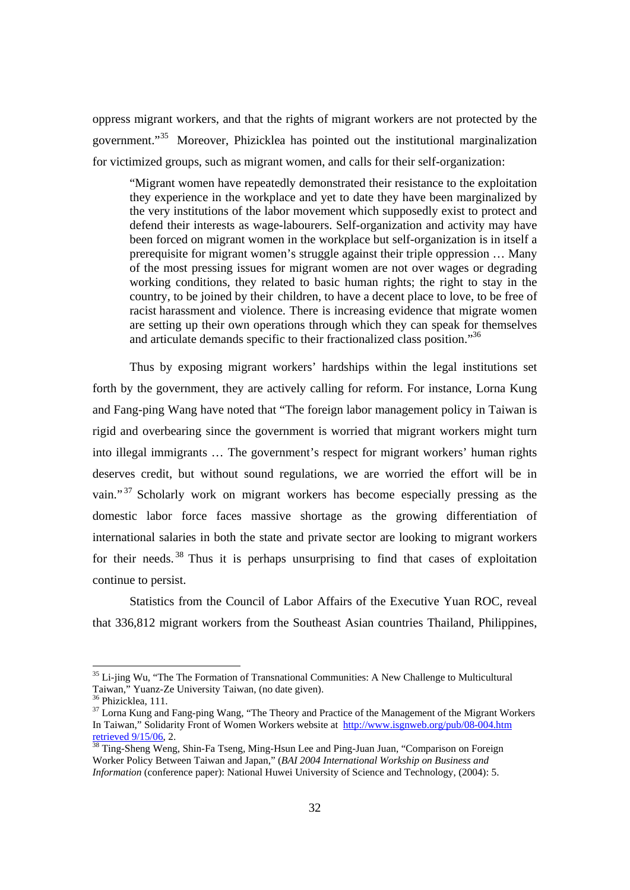oppress migrant workers, and that the rights of migrant workers are not protected by the government."35 Moreover, Phizicklea has pointed out the institutional marginalization for victimized groups, such as migrant women, and calls for their self-organization:

"Migrant women have repeatedly demonstrated their resistance to the exploitation they experience in the workplace and yet to date they have been marginalized by the very institutions of the labor movement which supposedly exist to protect and defend their interests as wage-labourers. Self-organization and activity may have been forced on migrant women in the workplace but self-organization is in itself a prerequisite for migrant women's struggle against their triple oppression … Many of the most pressing issues for migrant women are not over wages or degrading working conditions, they related to basic human rights; the right to stay in the country, to be joined by their children, to have a decent place to love, to be free of racist harassment and violence. There is increasing evidence that migrate women are setting up their own operations through which they can speak for themselves and articulate demands specific to their fractionalized class position."36

Thus by exposing migrant workers' hardships within the legal institutions set forth by the government, they are actively calling for reform. For instance, Lorna Kung and Fang-ping Wang have noted that "The foreign labor management policy in Taiwan is rigid and overbearing since the government is worried that migrant workers might turn into illegal immigrants … The government's respect for migrant workers' human rights deserves credit, but without sound regulations, we are worried the effort will be in vain."<sup>37</sup> Scholarly work on migrant workers has become especially pressing as the domestic labor force faces massive shortage as the growing differentiation of international salaries in both the state and private sector are looking to migrant workers for their needs.  $38$  Thus it is perhaps unsurprising to find that cases of exploitation continue to persist.

Statistics from the Council of Labor Affairs of the Executive Yuan ROC, reveal that 336,812 migrant workers from the Southeast Asian countries Thailand, Philippines,

<sup>&</sup>lt;sup>35</sup> Li-jing Wu, "The The Formation of Transnational Communities: A New Challenge to Multicultural Taiwan," Yuanz-Ze University Taiwan, (no date given).

<sup>&</sup>lt;sup>36</sup> Phizicklea, 111.

<sup>&</sup>lt;sup>37</sup> Lorna Kung and Fang-ping Wang, "The Theory and Practice of the Management of the Migrant Workers In Taiwan," Solidarity Front of Women Workers website at http://www.isgnweb.org/pub/08-004.htm retrieved 9/15/06, 2.<br><sup>38</sup> Ting-Sheng Weng, Shin-Fa Tseng, Ming-Hsun Lee and Ping-Juan Juan, "Comparison on Foreign

Worker Policy Between Taiwan and Japan," (*BAI 2004 International Workship on Business and Information* (conference paper): National Huwei University of Science and Technology, (2004): 5.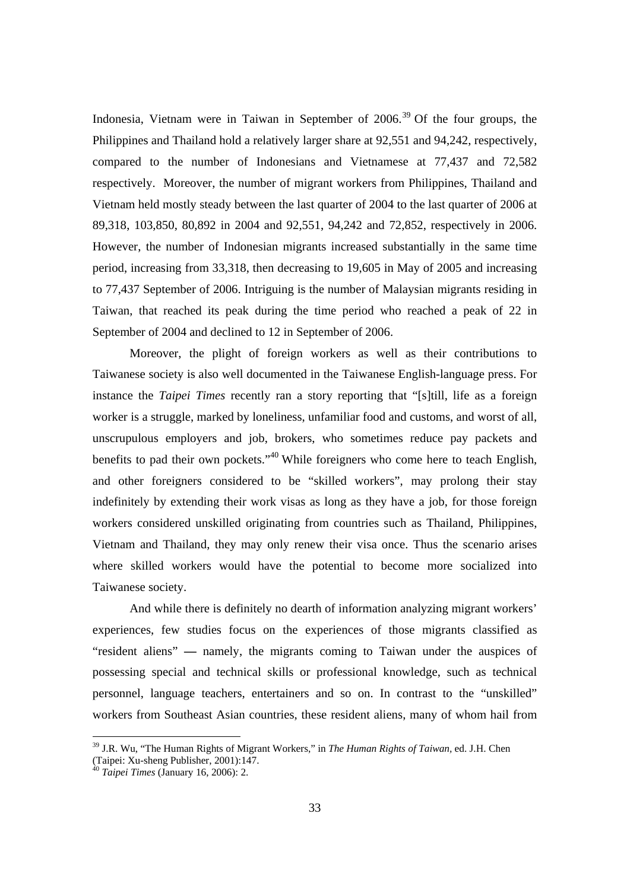Indonesia, Vietnam were in Taiwan in September of  $2006<sup>39</sup>$  Of the four groups, the Philippines and Thailand hold a relatively larger share at 92,551 and 94,242, respectively, compared to the number of Indonesians and Vietnamese at 77,437 and 72,582 respectively. Moreover, the number of migrant workers from Philippines, Thailand and Vietnam held mostly steady between the last quarter of 2004 to the last quarter of 2006 at 89,318, 103,850, 80,892 in 2004 and 92,551, 94,242 and 72,852, respectively in 2006. However, the number of Indonesian migrants increased substantially in the same time period, increasing from 33,318, then decreasing to 19,605 in May of 2005 and increasing to 77,437 September of 2006. Intriguing is the number of Malaysian migrants residing in Taiwan, that reached its peak during the time period who reached a peak of 22 in September of 2004 and declined to 12 in September of 2006.

Moreover, the plight of foreign workers as well as their contributions to Taiwanese society is also well documented in the Taiwanese English-language press. For instance the *Taipei Times* recently ran a story reporting that "[s]till, life as a foreign worker is a struggle, marked by loneliness, unfamiliar food and customs, and worst of all, unscrupulous employers and job, brokers, who sometimes reduce pay packets and benefits to pad their own pockets."40 While foreigners who come here to teach English, and other foreigners considered to be "skilled workers", may prolong their stay indefinitely by extending their work visas as long as they have a job, for those foreign workers considered unskilled originating from countries such as Thailand, Philippines, Vietnam and Thailand, they may only renew their visa once. Thus the scenario arises where skilled workers would have the potential to become more socialized into Taiwanese society.

And while there is definitely no dearth of information analyzing migrant workers' experiences, few studies focus on the experiences of those migrants classified as "resident aliens" **—** namely, the migrants coming to Taiwan under the auspices of possessing special and technical skills or professional knowledge, such as technical personnel, language teachers, entertainers and so on. In contrast to the "unskilled" workers from Southeast Asian countries, these resident aliens, many of whom hail from

<sup>39</sup> J.R. Wu, "The Human Rights of Migrant Workers," in *The Human Rights of Taiwan,* ed. J.H. Chen (Taipei: Xu-sheng Publisher, 2001):147.

<sup>40</sup> *Taipei Times* (January 16, 2006): 2.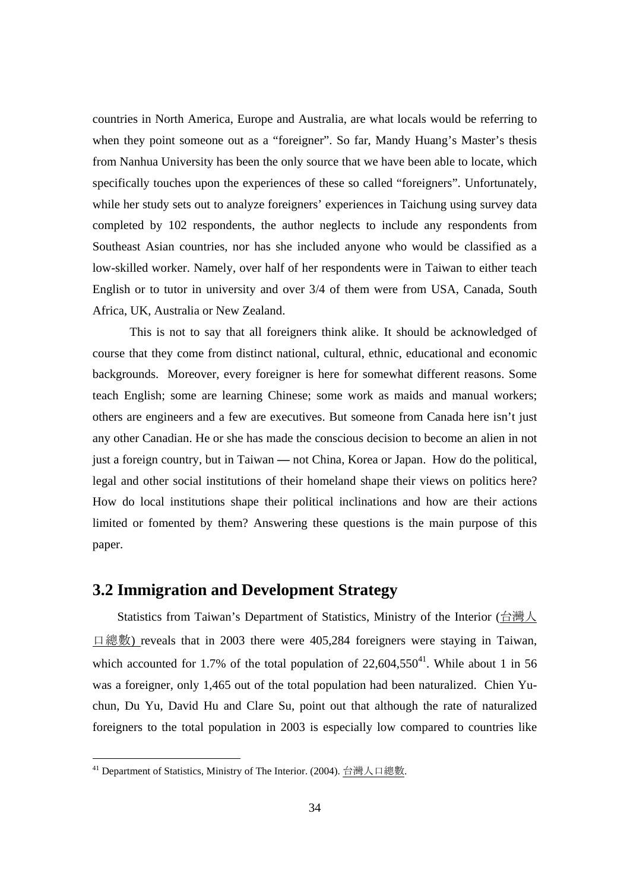countries in North America, Europe and Australia, are what locals would be referring to when they point someone out as a "foreigner". So far, Mandy Huang's Master's thesis from Nanhua University has been the only source that we have been able to locate, which specifically touches upon the experiences of these so called "foreigners". Unfortunately, while her study sets out to analyze foreigners' experiences in Taichung using survey data completed by 102 respondents, the author neglects to include any respondents from Southeast Asian countries, nor has she included anyone who would be classified as a low-skilled worker. Namely, over half of her respondents were in Taiwan to either teach English or to tutor in university and over 3/4 of them were from USA, Canada, South Africa, UK, Australia or New Zealand.

This is not to say that all foreigners think alike. It should be acknowledged of course that they come from distinct national, cultural, ethnic, educational and economic backgrounds. Moreover, every foreigner is here for somewhat different reasons. Some teach English; some are learning Chinese; some work as maids and manual workers; others are engineers and a few are executives. But someone from Canada here isn't just any other Canadian. He or she has made the conscious decision to become an alien in not just a foreign country, but in Taiwan **—** not China, Korea or Japan. How do the political, legal and other social institutions of their homeland shape their views on politics here? How do local institutions shape their political inclinations and how are their actions limited or fomented by them? Answering these questions is the main purpose of this paper.

### **3.2 Immigration and Development Strategy**

Statistics from Taiwan's Department of Statistics, Ministry of the Interior (台灣人 口總數) reveals that in 2003 there were 405,284 foreigners were staying in Taiwan, which accounted for 1.7% of the total population of  $22.604.550^{41}$ . While about 1 in 56 was a foreigner, only 1,465 out of the total population had been naturalized. Chien Yuchun, Du Yu, David Hu and Clare Su, point out that although the rate of naturalized foreigners to the total population in 2003 is especially low compared to countries like

<sup>&</sup>lt;sup>41</sup> Department of Statistics, Ministry of The Interior. (2004). 台灣人口總數.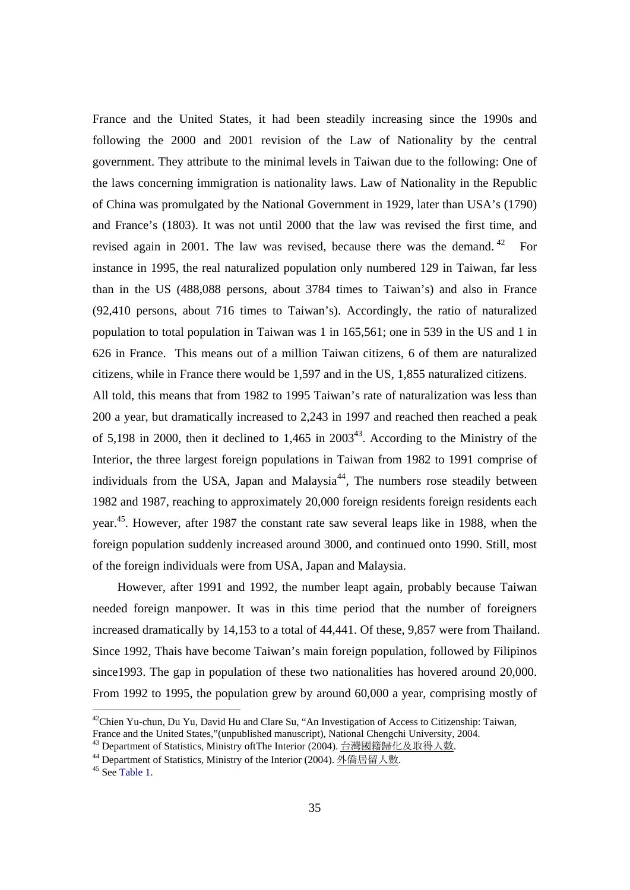France and the United States, it had been steadily increasing since the 1990s and following the 2000 and 2001 revision of the Law of Nationality by the central government. They attribute to the minimal levels in Taiwan due to the following: One of the laws concerning immigration is nationality laws. Law of Nationality in the Republic of China was promulgated by the National Government in 1929, later than USA's (1790) and France's (1803). It was not until 2000 that the law was revised the first time, and revised again in 2001. The law was revised, because there was the demand.  $42$  For instance in 1995, the real naturalized population only numbered 129 in Taiwan, far less than in the US (488,088 persons, about 3784 times to Taiwan's) and also in France (92,410 persons, about 716 times to Taiwan's). Accordingly, the ratio of naturalized population to total population in Taiwan was 1 in 165,561; one in 539 in the US and 1 in 626 in France. This means out of a million Taiwan citizens, 6 of them are naturalized citizens, while in France there would be 1,597 and in the US, 1,855 naturalized citizens. All told, this means that from 1982 to 1995 Taiwan's rate of naturalization was less than 200 a year, but dramatically increased to 2,243 in 1997 and reached then reached a peak of 5,198 in 2000, then it declined to  $1,465$  in  $2003^{43}$ . According to the Ministry of the Interior, the three largest foreign populations in Taiwan from 1982 to 1991 comprise of

individuals from the USA, Japan and Malaysia<sup>44</sup>, The numbers rose steadily between 1982 and 1987, reaching to approximately 20,000 foreign residents foreign residents each year.45. However, after 1987 the constant rate saw several leaps like in 1988, when the foreign population suddenly increased around 3000, and continued onto 1990. Still, most of the foreign individuals were from USA, Japan and Malaysia.

However, after 1991 and 1992, the number leapt again, probably because Taiwan needed foreign manpower. It was in this time period that the number of foreigners increased dramatically by 14,153 to a total of 44,441. Of these, 9,857 were from Thailand. Since 1992, Thais have become Taiwan's main foreign population, followed by Filipinos since1993. The gap in population of these two nationalities has hovered around 20,000. From 1992 to 1995, the population grew by around 60,000 a year, comprising mostly of

 $^{42}$ Chien Yu-chun, Du Yu, David Hu and Clare Su, "An Investigation of Access to Citizenship: Taiwan, France and the United States,"(unpublished manuscript), National Chengchi University, 2004.<br><sup>43</sup> Department of Statistics, Ministry oft The Interior (2004). 台灣國籍歸化及取得人數.

<sup>&</sup>lt;sup>44</sup> Department of Statistics, Ministry of the Interior (2004). <u>外僑居留人數</u>. 45 See Table 1.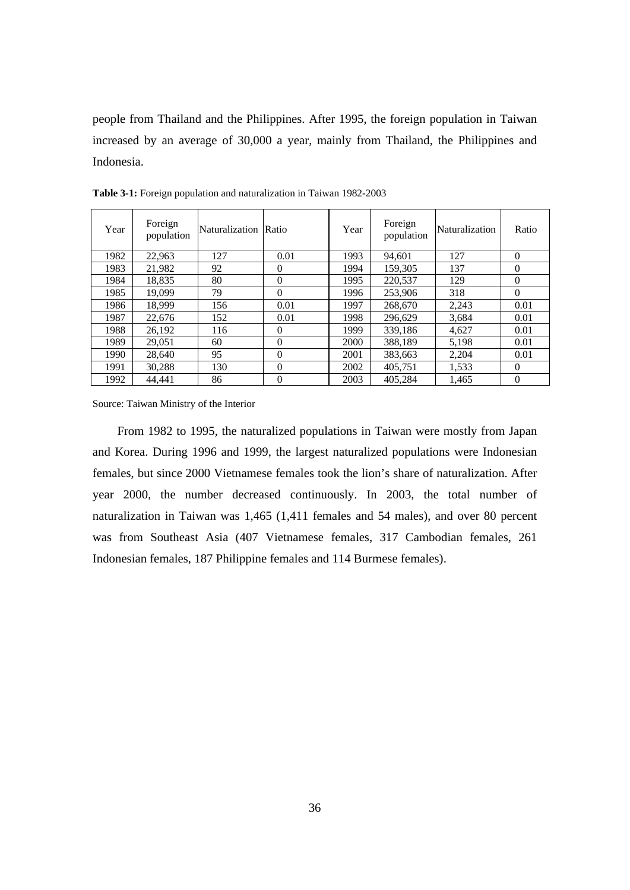people from Thailand and the Philippines. After 1995, the foreign population in Taiwan increased by an average of 30,000 a year, mainly from Thailand, the Philippines and Indonesia.

| Year | Foreign<br>population | Naturalization Ratio |          | Year | Foreign<br>population | Naturalization | Ratio    |
|------|-----------------------|----------------------|----------|------|-----------------------|----------------|----------|
| 1982 | 22.963                | 127                  | 0.01     | 1993 | 94.601                | 127            | $\Omega$ |
| 1983 | 21,982                | 92                   | $\Omega$ | 1994 | 159,305               | 137            | $\Omega$ |
| 1984 | 18.835                | 80                   | $\Omega$ | 1995 | 220,537               | 129            | $\Omega$ |
| 1985 | 19.099                | 79                   | $\Omega$ | 1996 | 253,906               | 318            | $\Omega$ |
| 1986 | 18,999                | 156                  | 0.01     | 1997 | 268,670               | 2,243          | 0.01     |
| 1987 | 22,676                | 152                  | 0.01     | 1998 | 296.629               | 3.684          | 0.01     |
| 1988 | 26,192                | 116                  | $\Omega$ | 1999 | 339,186               | 4,627          | 0.01     |
| 1989 | 29,051                | 60                   | $\Omega$ | 2000 | 388,189               | 5,198          | 0.01     |
| 1990 | 28,640                | 95                   | $\theta$ | 2001 | 383,663               | 2,204          | 0.01     |
| 1991 | 30,288                | 130                  | $\Omega$ | 2002 | 405.751               | 1,533          | $\Omega$ |
| 1992 | 44.441                | 86                   | $\Omega$ | 2003 | 405.284               | 1.465          | $\Omega$ |

**Table 3-1:** Foreign population and naturalization in Taiwan 1982-2003

Source: Taiwan Ministry of the Interior

From 1982 to 1995, the naturalized populations in Taiwan were mostly from Japan and Korea. During 1996 and 1999, the largest naturalized populations were Indonesian females, but since 2000 Vietnamese females took the lion's share of naturalization. After year 2000, the number decreased continuously. In 2003, the total number of naturalization in Taiwan was 1,465 (1,411 females and 54 males), and over 80 percent was from Southeast Asia (407 Vietnamese females, 317 Cambodian females, 261 Indonesian females, 187 Philippine females and 114 Burmese females).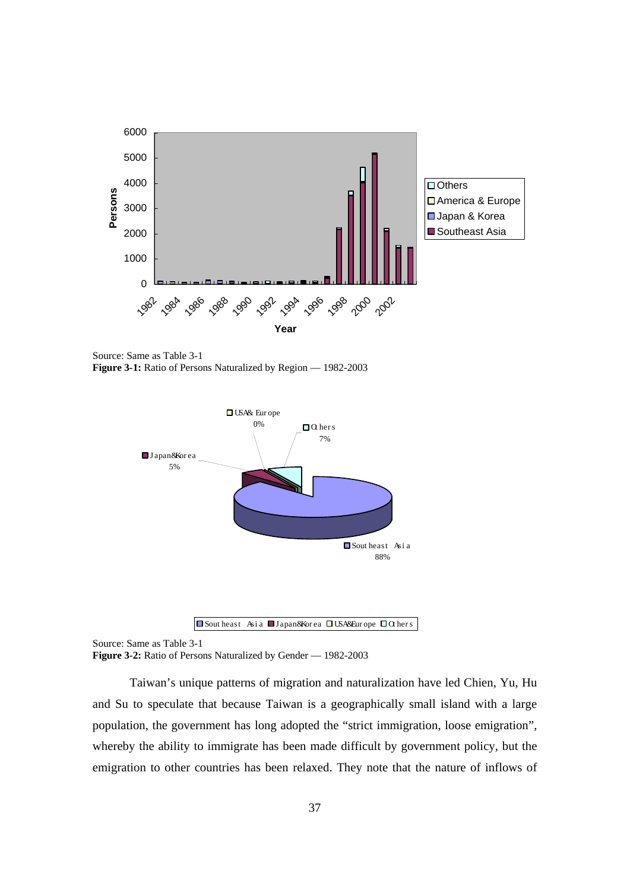

Source: Same as Table 3-1 **Figure 3-1:** Ratio of Persons Naturalized by Region — 1982-2003





Source: Same as Table 3-1

**Figure 3-2:** Ratio of Persons Naturalized by Gender — 1982-2003

Taiwan's unique patterns of migration and naturalization have led Chien, Yu, Hu and Su to speculate that because Taiwan is a geographically small island with a large population, the government has long adopted the "strict immigration, loose emigration", whereby the ability to immigrate has been made difficult by government policy, but the emigration to other countries has been relaxed. They note that the nature of inflows of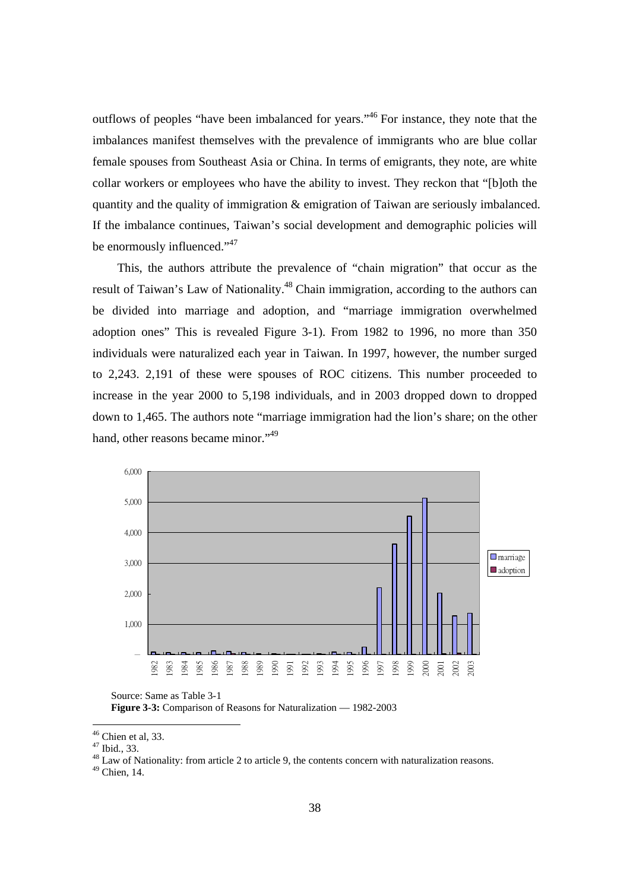outflows of peoples "have been imbalanced for years."46 For instance, they note that the imbalances manifest themselves with the prevalence of immigrants who are blue collar female spouses from Southeast Asia or China. In terms of emigrants, they note, are white collar workers or employees who have the ability to invest. They reckon that "[b]oth the quantity and the quality of immigration & emigration of Taiwan are seriously imbalanced. If the imbalance continues, Taiwan's social development and demographic policies will be enormously influenced."<sup>47</sup>

This, the authors attribute the prevalence of "chain migration" that occur as the result of Taiwan's Law of Nationality.<sup>48</sup> Chain immigration, according to the authors can be divided into marriage and adoption, and "marriage immigration overwhelmed adoption ones" This is revealed Figure 3-1). From 1982 to 1996, no more than 350 individuals were naturalized each year in Taiwan. In 1997, however, the number surged to 2,243. 2,191 of these were spouses of ROC citizens. This number proceeded to increase in the year 2000 to 5,198 individuals, and in 2003 dropped down to dropped down to 1,465. The authors note "marriage immigration had the lion's share; on the other hand, other reasons became minor."<sup>49</sup>



Source: Same as Table 3-1 **Figure 3-3:** Comparison of Reasons for Naturalization — 1982-2003

<sup>48</sup> Law of Nationality: from article 2 to article 9, the contents concern with naturalization reasons.

49 Chien, 14.

 $46$  Chien et al, 33.

<sup>47</sup> Ibid., 33.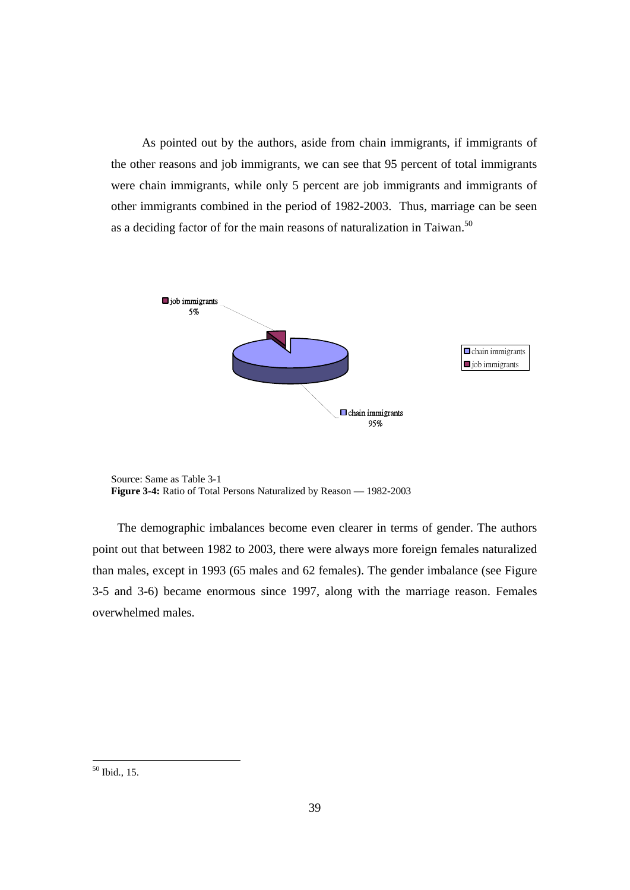As pointed out by the authors, aside from chain immigrants, if immigrants of the other reasons and job immigrants, we can see that 95 percent of total immigrants were chain immigrants, while only 5 percent are job immigrants and immigrants of other immigrants combined in the period of 1982-2003. Thus, marriage can be seen as a deciding factor of for the main reasons of naturalization in Taiwan.<sup>50</sup>



Source: Same as Table 3-1 **Figure 3-4:** Ratio of Total Persons Naturalized by Reason — 1982-2003

The demographic imbalances become even clearer in terms of gender. The authors point out that between 1982 to 2003, there were always more foreign females naturalized than males, except in 1993 (65 males and 62 females). The gender imbalance (see Figure 3-5 and 3-6) became enormous since 1997, along with the marriage reason. Females overwhelmed males.

<sup>50</sup> Ibid., 15.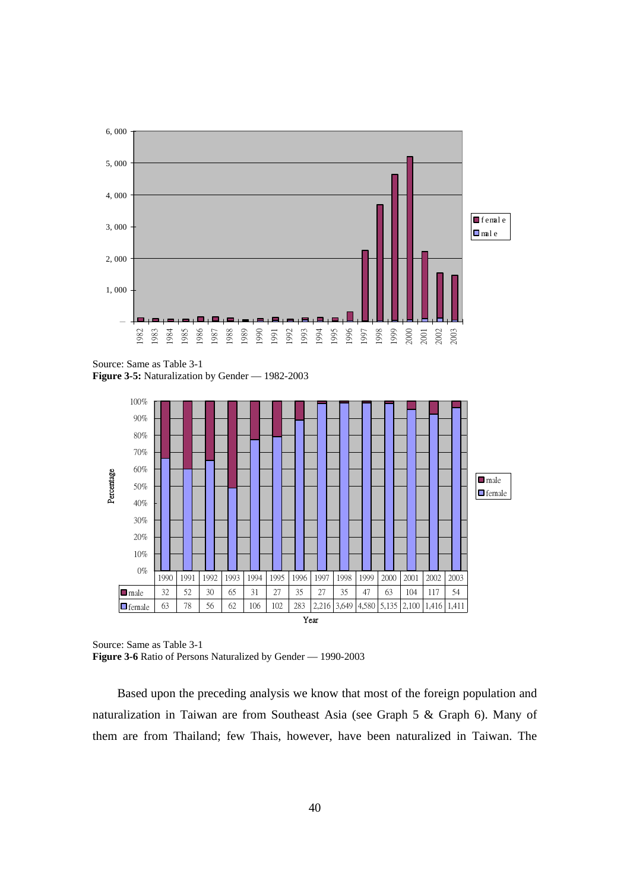

Source: Same as Table 3-1 **Figure 3-5:** Naturalization by Gender — 1982-2003



Source: Same as Table 3-1 **Figure 3-6** Ratio of Persons Naturalized by Gender — 1990-2003

Based upon the preceding analysis we know that most of the foreign population and naturalization in Taiwan are from Southeast Asia (see Graph 5 & Graph 6). Many of them are from Thailand; few Thais, however, have been naturalized in Taiwan. The